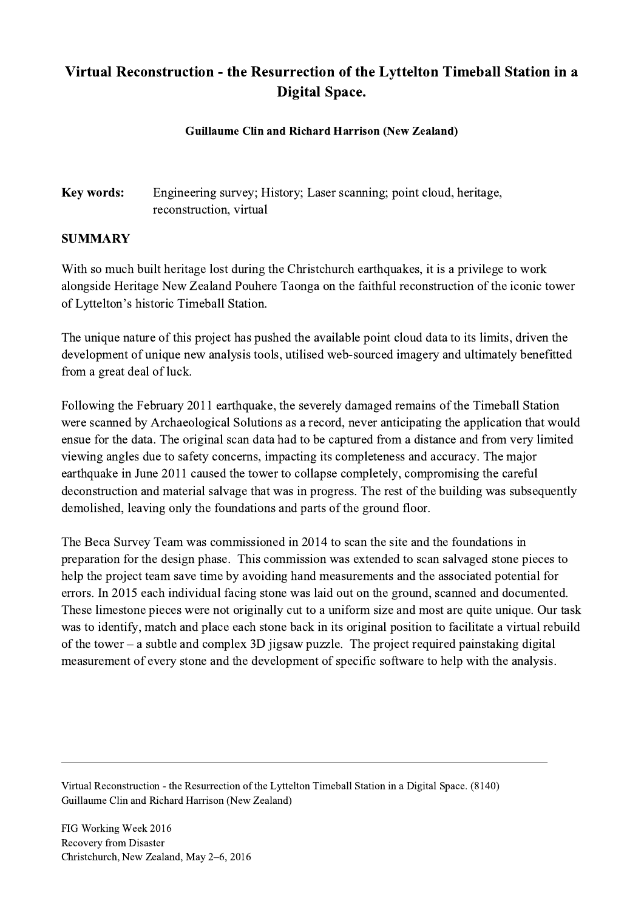## Virtual Reconstruction - the Resurrection of the Lyttelton Timeball Station in a Digital Space.

## Guillaume Clin and Richard Harrison (New Zealand)

Key words: Engineering survey; History; Laser scanning; point cloud, heritage, reconstruction, virtual

## SUMMARY

With so much built heritage lost during the Christchurch earthquakes, it is a privilege to work alongside Heritage New Zealand Pouhere Taonga on the faithful reconstruction of the iconic tower of Lyttelton's historic Timeball Station.

The unique nature of this project has pushed the available point cloud data to its limits, driven the development of unique new analysis tools, utilised web-sourced imagery and ultimately benefitted from a great deal of luck.

Following the February 2011 earthquake, the severely damaged remains of the Timeball Station were scanned by Archaeological Solutions as a record, never anticipating the application that would ensue for the data. The original scan data had to be captured from a distance and from very limited viewing angles due to safety concerns, impacting its completeness and accuracy. The major earthquake in June 2011 caused the tower to collapse completely, compromising the careful deconstruction and material salvage that was in progress. The rest of the building was subsequently demolished, leaving only the foundations and parts of the ground floor.

The Beca Survey Team was commissioned in 2014 to scan the site and the foundations in preparation for the design phase. This commission was extended to scan salvaged stone pieces to help the project team save time by avoiding hand measurements and the associated potential for errors. In 2015 each individual facing stone was laid out on the ground, scanned and documented. These limestone pieces were not originally cut to a uniform size and most are quite unique. Our task was to identify, match and place each stone back in its original position to facilitate a virtual rebuild of the tower – a subtle and complex 3D jigsaw puzzle. The project required painstaking digital measurement of every stone and the development of specific software to help with the analysis.

Virtual Reconstruction - the Resurrection of the Lyttelton Timeball Station in a Digital Space. (8140) Guillaume Clin and Richard Harrison (New Zealand)

 $\mathcal{L}_\mathcal{L} = \{ \mathcal{L}_\mathcal{L} = \{ \mathcal{L}_\mathcal{L} = \{ \mathcal{L}_\mathcal{L} = \{ \mathcal{L}_\mathcal{L} = \{ \mathcal{L}_\mathcal{L} = \{ \mathcal{L}_\mathcal{L} = \{ \mathcal{L}_\mathcal{L} = \{ \mathcal{L}_\mathcal{L} = \{ \mathcal{L}_\mathcal{L} = \{ \mathcal{L}_\mathcal{L} = \{ \mathcal{L}_\mathcal{L} = \{ \mathcal{L}_\mathcal{L} = \{ \mathcal{L}_\mathcal{L} = \{ \mathcal{L}_\mathcal{$ 

FIG Working Week 2016 Recovery from Disaster Christchurch, New Zealand, May 2–6, 2016